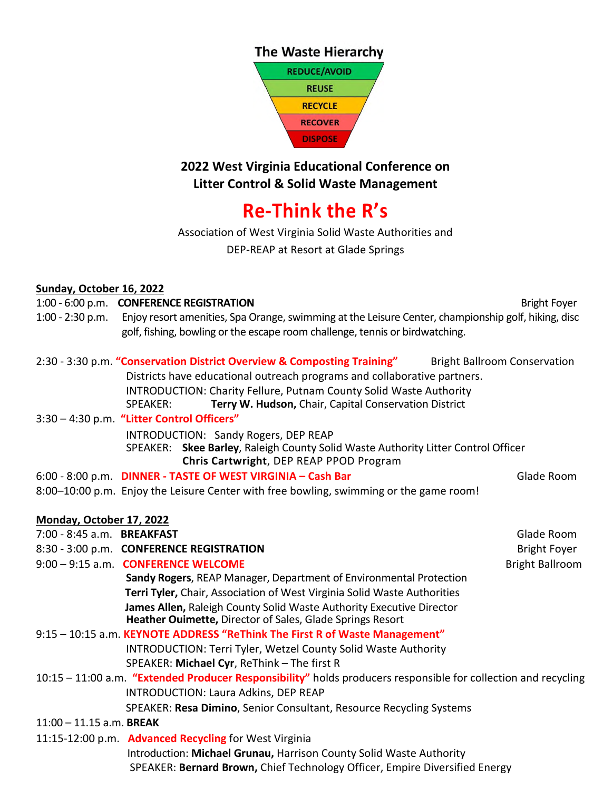



## **2022 West Virginia Educational Conference on Litter Control & Solid Waste Management**

## **Re-Think the R's**

Association of West Virginia Solid Waste Authorities and

DEP-REAP at Resort at Glade Springs

## **Sunday, October 16, 2022**

## 1:00 - 6:00 p.m. **CONFERENCE REGISTRATION** Bright Foyer

1:00 - 2:30 p.m. Enjoy resort amenities, Spa Orange, swimming at the Leisure Center, championship golf, hiking, disc golf, fishing, bowling or the escape room challenge, tennis or birdwatching.

|                                                                           | 2:30 - 3:30 p.m. "Conservation District Overview & Composting Training"           | <b>Bright Ballroom Conservation</b> |
|---------------------------------------------------------------------------|-----------------------------------------------------------------------------------|-------------------------------------|
|                                                                           | Districts have educational outreach programs and collaborative partners.          |                                     |
| <b>INTRODUCTION: Charity Fellure, Putnam County Solid Waste Authority</b> |                                                                                   |                                     |
| SPEAKER:                                                                  | Terry W. Hudson, Chair, Capital Conservation District                             |                                     |
| 3:30 - 4:30 p.m. "Litter Control Officers"                                |                                                                                   |                                     |
|                                                                           | INTRODUCTION: Sandy Rogers, DEP REAP                                              |                                     |
|                                                                           | SPEAKER: Skee Barley, Raleigh County Solid Waste Authority Litter Control Officer |                                     |

**Chris Cartwright**, DEP REAP PPOD Program

- 6:00 8:00 p.m. **DINNER TASTE OF WEST VIRGINIA Cash Bar** Glade Room
- 8:00–10:00 p.m. Enjoy the Leisure Center with free bowling, swimming or the game room!

| Monday, October 17, 2022   |                                                                                                                                   |                        |
|----------------------------|-----------------------------------------------------------------------------------------------------------------------------------|------------------------|
| 7:00 - 8:45 a.m. BREAKFAST |                                                                                                                                   | Glade Room             |
|                            | 8:30 - 3:00 p.m. CONFERENCE REGISTRATION                                                                                          | <b>Bright Foyer</b>    |
|                            | 9:00 - 9:15 a.m. CONFERENCE WELCOME                                                                                               | <b>Bright Ballroom</b> |
|                            | Sandy Rogers, REAP Manager, Department of Environmental Protection                                                                |                        |
|                            | Terri Tyler, Chair, Association of West Virginia Solid Waste Authorities                                                          |                        |
|                            | James Allen, Raleigh County Solid Waste Authority Executive Director<br>Heather Ouimette, Director of Sales, Glade Springs Resort |                        |
|                            | 9:15 - 10:15 a.m. KEYNOTE ADDRESS "ReThink The First R of Waste Management"                                                       |                        |
|                            | INTRODUCTION: Terri Tyler, Wetzel County Solid Waste Authority                                                                    |                        |
|                            | SPEAKER: Michael Cyr, ReThink - The first R                                                                                       |                        |
|                            | 10:15 – 11:00 a.m. "Extended Producer Responsibility" holds producers responsible for collection and recycling                    |                        |
|                            | <b>INTRODUCTION: Laura Adkins, DEP REAP</b>                                                                                       |                        |
|                            | SPEAKER: Resa Dimino, Senior Consultant, Resource Recycling Systems                                                               |                        |
| $11:00 - 11.15$ a.m. BREAK |                                                                                                                                   |                        |
|                            | 11:15-12:00 p.m. <b>Advanced Recycling</b> for West Virginia                                                                      |                        |
|                            | Introduction: Michael Grunau, Harrison County Solid Waste Authority                                                               |                        |
|                            | SPEAKER: Bernard Brown, Chief Technology Officer, Empire Diversified Energy                                                       |                        |